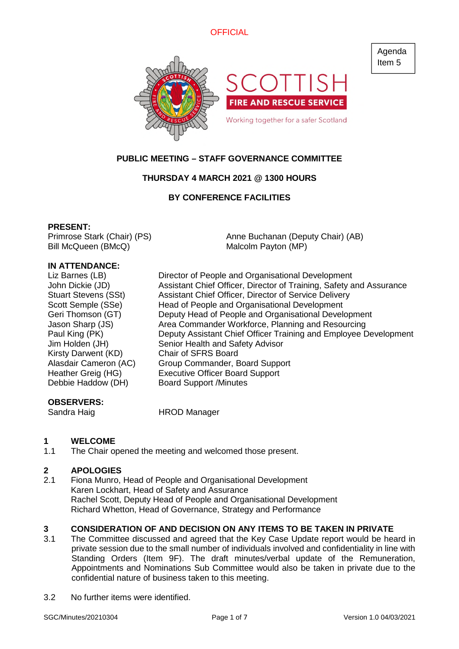

# **PUBLIC MEETING – STAFF GOVERNANCE COMMITTEE**

# **THURSDAY 4 MARCH 2021 @ 1300 HOURS**

# **BY CONFERENCE FACILITIES**

#### **PRESENT:**

Primrose Stark (Chair) (PS) Bill McQueen (BMcQ)

Anne Buchanan (Deputy Chair) (AB) Malcolm Payton (MP)

## **IN ATTENDANCE:**

| Liz Barnes (LB)<br>John Dickie (JD)<br><b>Stuart Stevens (SSt)</b><br>Scott Semple (SSe)<br>Geri Thomson (GT)<br>Jason Sharp (JS)<br>Paul King (PK)<br>Jim Holden (JH) | Director of People and Organisational Development<br>Assistant Chief Officer, Director of Training, Safety and Assurance<br>Assistant Chief Officer, Director of Service Delivery<br>Head of People and Organisational Development<br>Deputy Head of People and Organisational Development<br>Area Commander Workforce, Planning and Resourcing<br>Senior Health and Safety Advisor |
|------------------------------------------------------------------------------------------------------------------------------------------------------------------------|-------------------------------------------------------------------------------------------------------------------------------------------------------------------------------------------------------------------------------------------------------------------------------------------------------------------------------------------------------------------------------------|
|                                                                                                                                                                        |                                                                                                                                                                                                                                                                                                                                                                                     |
|                                                                                                                                                                        |                                                                                                                                                                                                                                                                                                                                                                                     |
|                                                                                                                                                                        | Deputy Assistant Chief Officer Training and Employee Development                                                                                                                                                                                                                                                                                                                    |
|                                                                                                                                                                        |                                                                                                                                                                                                                                                                                                                                                                                     |
| Kirsty Darwent (KD)                                                                                                                                                    | <b>Chair of SFRS Board</b>                                                                                                                                                                                                                                                                                                                                                          |
| Alasdair Cameron (AC)                                                                                                                                                  | Group Commander, Board Support                                                                                                                                                                                                                                                                                                                                                      |
| Heather Greig (HG)                                                                                                                                                     | <b>Executive Officer Board Support</b>                                                                                                                                                                                                                                                                                                                                              |
| Debbie Haddow (DH)                                                                                                                                                     | <b>Board Support /Minutes</b>                                                                                                                                                                                                                                                                                                                                                       |
|                                                                                                                                                                        |                                                                                                                                                                                                                                                                                                                                                                                     |

## **OBSERVERS:**

Sandra Haig **HROD Manager** 

# **1 WELCOME**

1.1 The Chair opened the meeting and welcomed those present.

# **2 APOLOGIES**

2.1 Fiona Munro, Head of People and Organisational Development Karen Lockhart, Head of Safety and Assurance Rachel Scott, Deputy Head of People and Organisational Development Richard Whetton, Head of Governance, Strategy and Performance

# **3 CONSIDERATION OF AND DECISION ON ANY ITEMS TO BE TAKEN IN PRIVATE**<br>3.1 The Committee discussed and agreed that the Key Case Update report would be hear

- The Committee discussed and agreed that the Key Case Update report would be heard in private session due to the small number of individuals involved and confidentiality in line with Standing Orders (Item 9F). The draft minutes/verbal update of the Remuneration, Appointments and Nominations Sub Committee would also be taken in private due to the confidential nature of business taken to this meeting.
- 3.2 No further items were identified.

Agenda Item 5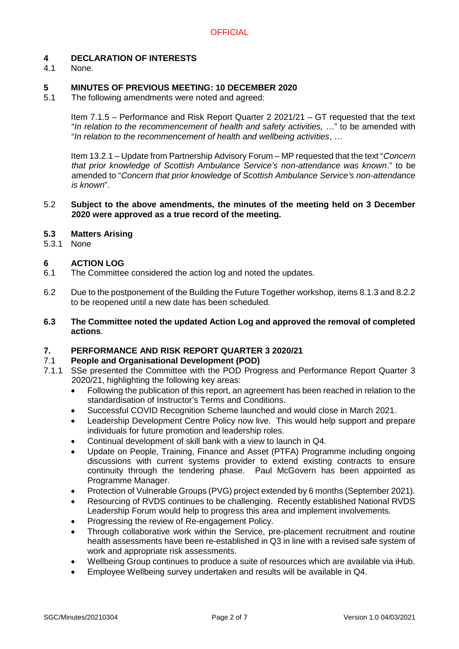# **4 DECLARATION OF INTERESTS**

None.

## **5 MINUTES OF PREVIOUS MEETING: 10 DECEMBER 2020**

5.1 The following amendments were noted and agreed:

Item 7.1.5 – Performance and Risk Report Quarter 2 2021/21 – GT requested that the text "*In relation to the recommencement of health and safety activities,* …" to be amended with "*In relation to the recommencement of health and wellbeing activities*, …

Item 13.2.1 – Update from Partnership Advisory Forum – MP requested that the text "*Concern that prior knowledge of Scottish Ambulance Service's non-attendance was known*." to be amended to "*Concern that prior knowledge of Scottish Ambulance Service's non-attendance is known*".

#### 5.2 **Subject to the above amendments, the minutes of the meeting held on 3 December 2020 were approved as a true record of the meeting.**

## **5.3 Matters Arising**

5.3.1 None

## **6 ACTION LOG**

- 6.1 The Committee considered the action log and noted the updates.
- 6.2 Due to the postponement of the Building the Future Together workshop, items 8.1.3 and 8.2.2 to be reopened until a new date has been scheduled.
- **6.3 The Committee noted the updated Action Log and approved the removal of completed actions**.

## **7. PERFORMANCE AND RISK REPORT QUARTER 3 2020/21**

#### 7.1 **People and Organisational Development (POD)**

- 7.1.1 SSe presented the Committee with the POD Progress and Performance Report Quarter 3 2020/21, highlighting the following key areas:
	- Following the publication of this report, an agreement has been reached in relation to the standardisation of Instructor's Terms and Conditions.
	- Successful COVID Recognition Scheme launched and would close in March 2021.
	- Leadership Development Centre Policy now live. This would help support and prepare individuals for future promotion and leadership roles.
	- Continual development of skill bank with a view to launch in Q4.
	- Update on People, Training, Finance and Asset (PTFA) Programme including ongoing discussions with current systems provider to extend existing contracts to ensure continuity through the tendering phase. Paul McGovern has been appointed as Programme Manager.
	- Protection of Vulnerable Groups (PVG) project extended by 6 months (September 2021).
	- Resourcing of RVDS continues to be challenging. Recently established National RVDS Leadership Forum would help to progress this area and implement involvements.
	- Progressing the review of Re-engagement Policy.
	- Through collaborative work within the Service, pre-placement recruitment and routine health assessments have been re-established in Q3 in line with a revised safe system of work and appropriate risk assessments.
	- Wellbeing Group continues to produce a suite of resources which are available via iHub.
	- Employee Wellbeing survey undertaken and results will be available in Q4.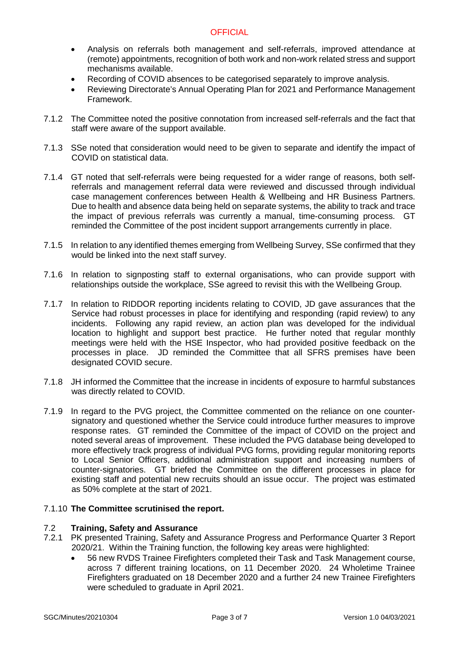- Analysis on referrals both management and self-referrals, improved attendance at (remote) appointments, recognition of both work and non-work related stress and support mechanisms available.
- Recording of COVID absences to be categorised separately to improve analysis.
- Reviewing Directorate's Annual Operating Plan for 2021 and Performance Management Framework.
- 7.1.2 The Committee noted the positive connotation from increased self-referrals and the fact that staff were aware of the support available.
- 7.1.3 SSe noted that consideration would need to be given to separate and identify the impact of COVID on statistical data.
- 7.1.4 GT noted that self-referrals were being requested for a wider range of reasons, both selfreferrals and management referral data were reviewed and discussed through individual case management conferences between Health & Wellbeing and HR Business Partners. Due to health and absence data being held on separate systems, the ability to track and trace the impact of previous referrals was currently a manual, time-consuming process. GT reminded the Committee of the post incident support arrangements currently in place.
- 7.1.5 In relation to any identified themes emerging from Wellbeing Survey, SSe confirmed that they would be linked into the next staff survey.
- 7.1.6 In relation to signposting staff to external organisations, who can provide support with relationships outside the workplace, SSe agreed to revisit this with the Wellbeing Group.
- 7.1.7 In relation to RIDDOR reporting incidents relating to COVID, JD gave assurances that the Service had robust processes in place for identifying and responding (rapid review) to any incidents. Following any rapid review, an action plan was developed for the individual location to highlight and support best practice. He further noted that regular monthly meetings were held with the HSE Inspector, who had provided positive feedback on the processes in place. JD reminded the Committee that all SFRS premises have been designated COVID secure.
- 7.1.8 JH informed the Committee that the increase in incidents of exposure to harmful substances was directly related to COVID.
- 7.1.9 In regard to the PVG project, the Committee commented on the reliance on one countersignatory and questioned whether the Service could introduce further measures to improve response rates. GT reminded the Committee of the impact of COVID on the project and noted several areas of improvement. These included the PVG database being developed to more effectively track progress of individual PVG forms, providing regular monitoring reports to Local Senior Officers, additional administration support and increasing numbers of counter-signatories. GT briefed the Committee on the different processes in place for existing staff and potential new recruits should an issue occur. The project was estimated as 50% complete at the start of 2021.

#### 7.1.10 **The Committee scrutinised the report.**

#### 7.2 **Training, Safety and Assurance**

- 7.2.1 PK presented Training, Safety and Assurance Progress and Performance Quarter 3 Report 2020/21. Within the Training function, the following key areas were highlighted:
	- 56 new RVDS Trainee Firefighters completed their Task and Task Management course, across 7 different training locations, on 11 December 2020. 24 Wholetime Trainee Firefighters graduated on 18 December 2020 and a further 24 new Trainee Firefighters were scheduled to graduate in April 2021.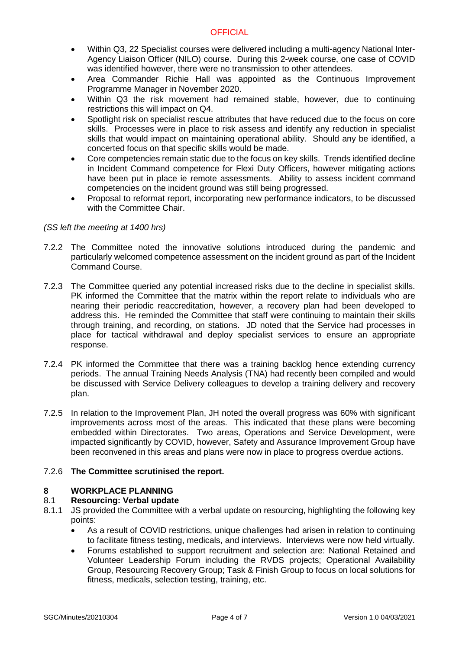- Within Q3, 22 Specialist courses were delivered including a multi-agency National Inter-Agency Liaison Officer (NILO) course. During this 2-week course, one case of COVID was identified however, there were no transmission to other attendees.
- Area Commander Richie Hall was appointed as the Continuous Improvement Programme Manager in November 2020.
- Within Q3 the risk movement had remained stable, however, due to continuing restrictions this will impact on Q4.
- Spotlight risk on specialist rescue attributes that have reduced due to the focus on core skills. Processes were in place to risk assess and identify any reduction in specialist skills that would impact on maintaining operational ability. Should any be identified, a concerted focus on that specific skills would be made.
- Core competencies remain static due to the focus on key skills. Trends identified decline in Incident Command competence for Flexi Duty Officers, however mitigating actions have been put in place ie remote assessments. Ability to assess incident command competencies on the incident ground was still being progressed.
- Proposal to reformat report, incorporating new performance indicators, to be discussed with the Committee Chair.

## *(SS left the meeting at 1400 hrs)*

- 7.2.2 The Committee noted the innovative solutions introduced during the pandemic and particularly welcomed competence assessment on the incident ground as part of the Incident Command Course.
- 7.2.3 The Committee queried any potential increased risks due to the decline in specialist skills. PK informed the Committee that the matrix within the report relate to individuals who are nearing their periodic reaccreditation, however, a recovery plan had been developed to address this. He reminded the Committee that staff were continuing to maintain their skills through training, and recording, on stations. JD noted that the Service had processes in place for tactical withdrawal and deploy specialist services to ensure an appropriate response.
- 7.2.4 PK informed the Committee that there was a training backlog hence extending currency periods. The annual Training Needs Analysis (TNA) had recently been compiled and would be discussed with Service Delivery colleagues to develop a training delivery and recovery plan.
- 7.2.5 In relation to the Improvement Plan, JH noted the overall progress was 60% with significant improvements across most of the areas. This indicated that these plans were becoming embedded within Directorates. Two areas, Operations and Service Development, were impacted significantly by COVID, however, Safety and Assurance Improvement Group have been reconvened in this areas and plans were now in place to progress overdue actions.

# 7.2.6 **The Committee scrutinised the report.**

# **8 WORKPLACE PLANNING**

#### 8.1 **Resourcing: Verbal update**

- 8.1.1 JS provided the Committee with a verbal update on resourcing, highlighting the following key points:
	- As a result of COVID restrictions, unique challenges had arisen in relation to continuing to facilitate fitness testing, medicals, and interviews. Interviews were now held virtually.
	- Forums established to support recruitment and selection are: National Retained and Volunteer Leadership Forum including the RVDS projects; Operational Availability Group, Resourcing Recovery Group; Task & Finish Group to focus on local solutions for fitness, medicals, selection testing, training, etc.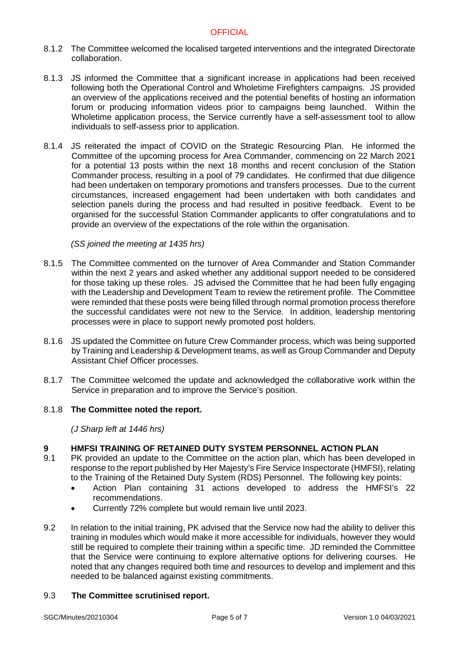- 8.1.2 The Committee welcomed the localised targeted interventions and the integrated Directorate collaboration.
- 8.1.3 JS informed the Committee that a significant increase in applications had been received following both the Operational Control and Wholetime Firefighters campaigns. JS provided an overview of the applications received and the potential benefits of hosting an information forum or producing information videos prior to campaigns being launched. Within the Wholetime application process, the Service currently have a self-assessment tool to allow individuals to self-assess prior to application.
- 8.1.4 JS reiterated the impact of COVID on the Strategic Resourcing Plan. He informed the Committee of the upcoming process for Area Commander, commencing on 22 March 2021 for a potential 13 posts within the next 18 months and recent conclusion of the Station Commander process, resulting in a pool of 79 candidates. He confirmed that due diligence had been undertaken on temporary promotions and transfers processes. Due to the current circumstances, increased engagement had been undertaken with both candidates and selection panels during the process and had resulted in positive feedback. Event to be organised for the successful Station Commander applicants to offer congratulations and to provide an overview of the expectations of the role within the organisation.

#### *(SS joined the meeting at 1435 hrs)*

- 8.1.5 The Committee commented on the turnover of Area Commander and Station Commander within the next 2 years and asked whether any additional support needed to be considered for those taking up these roles. JS advised the Committee that he had been fully engaging with the Leadership and Development Team to review the retirement profile. The Committee were reminded that these posts were being filled through normal promotion process therefore the successful candidates were not new to the Service. In addition, leadership mentoring processes were in place to support newly promoted post holders.
- 8.1.6 JS updated the Committee on future Crew Commander process, which was being supported by Training and Leadership & Development teams, as well as Group Commander and Deputy Assistant Chief Officer processes.
- 8.1.7 The Committee welcomed the update and acknowledged the collaborative work within the Service in preparation and to improve the Service's position.

#### 8.1.8 **The Committee noted the report.**

*(J Sharp left at 1446 hrs)*

# **9 HMFSI TRAINING OF RETAINED DUTY SYSTEM PERSONNEL ACTION PLAN**

- 9.1 PK provided an update to the Committee on the action plan, which has been developed in response to the report published by Her Majesty's Fire Service Inspectorate (HMFSI), relating to the Training of the Retained Duty System (RDS) Personnel. The following key points:
	- Action Plan containing 31 actions developed to address the HMFSI's 22 recommendations.
	- Currently 72% complete but would remain live until 2023.
- 9.2 In relation to the initial training, PK advised that the Service now had the ability to deliver this training in modules which would make it more accessible for individuals, however they would still be required to complete their training within a specific time. JD reminded the Committee that the Service were continuing to explore alternative options for delivering courses. He noted that any changes required both time and resources to develop and implement and this needed to be balanced against existing commitments.

#### 9.3 **The Committee scrutinised report.**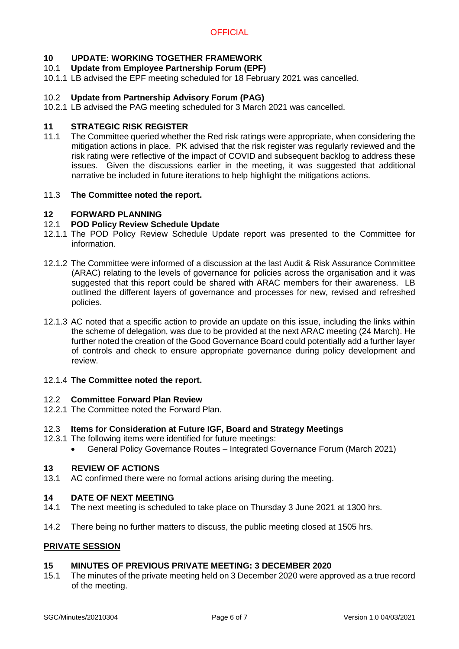# **10 UPDATE: WORKING TOGETHER FRAMEWORK**

# 10.1 **Update from Employee Partnership Forum (EPF)**

10.1.1 LB advised the EPF meeting scheduled for 18 February 2021 was cancelled.

# 10.2 **Update from Partnership Advisory Forum (PAG)**

10.2.1 LB advised the PAG meeting scheduled for 3 March 2021 was cancelled.

## **11 STRATEGIC RISK REGISTER**

11.1 The Committee queried whether the Red risk ratings were appropriate, when considering the mitigation actions in place. PK advised that the risk register was regularly reviewed and the risk rating were reflective of the impact of COVID and subsequent backlog to address these issues. Given the discussions earlier in the meeting, it was suggested that additional narrative be included in future iterations to help highlight the mitigations actions.

## 11.3 **The Committee noted the report.**

## **12 FORWARD PLANNING**

## 12.1 **POD Policy Review Schedule Update**

- 12.1.1 The POD Policy Review Schedule Update report was presented to the Committee for information.
- 12.1.2 The Committee were informed of a discussion at the last Audit & Risk Assurance Committee (ARAC) relating to the levels of governance for policies across the organisation and it was suggested that this report could be shared with ARAC members for their awareness. LB outlined the different layers of governance and processes for new, revised and refreshed policies.
- 12.1.3 AC noted that a specific action to provide an update on this issue, including the links within the scheme of delegation, was due to be provided at the next ARAC meeting (24 March). He further noted the creation of the Good Governance Board could potentially add a further layer of controls and check to ensure appropriate governance during policy development and review.

#### 12.1.4 **The Committee noted the report.**

#### 12.2 **Committee Forward Plan Review**

12.2.1 The Committee noted the Forward Plan.

#### 12.3 **Items for Consideration at Future IGF, Board and Strategy Meetings**

- 12.3.1 The following items were identified for future meetings:
	- General Policy Governance Routes Integrated Governance Forum (March 2021)

#### **13 REVIEW OF ACTIONS**

13.1 AC confirmed there were no formal actions arising during the meeting.

#### **14 DATE OF NEXT MEETING**

- 14.1 The next meeting is scheduled to take place on Thursday 3 June 2021 at 1300 hrs.
- 14.2 There being no further matters to discuss, the public meeting closed at 1505 hrs.

#### **PRIVATE SESSION**

# **15 MINUTES OF PREVIOUS PRIVATE MEETING: 3 DECEMBER 2020**

15.1 The minutes of the private meeting held on 3 December 2020 were approved as a true record of the meeting.